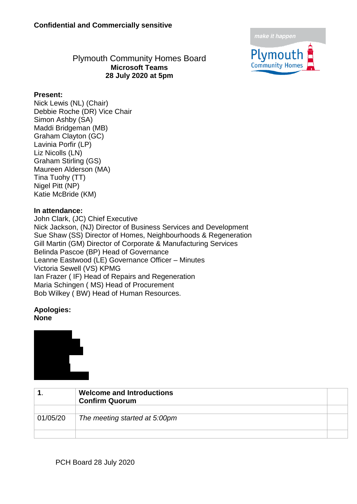make it happen



#### Plymouth Community Homes Board **Microsoft Teams 28 July 2020 at 5pm**

#### **Present:**

Nick Lewis (NL) (Chair) Debbie Roche (DR) Vice Chair Simon Ashby (SA) Maddi Bridgeman (MB) Graham Clayton (GC) Lavinia Porfir (LP) Liz Nicolls (LN) Graham Stirling (GS) Maureen Alderson (MA) Tina Tuohy (TT) Nigel Pitt (NP) Katie McBride (KM)

#### **In attendance:**

John Clark, (JC) Chief Executive Nick Jackson, (NJ) Director of Business Services and Development Sue Shaw (SS) Director of Homes, Neighbourhoods & Regeneration Gill Martin (GM) Director of Corporate & Manufacturing Services Belinda Pascoe (BP) Head of Governance Leanne Eastwood (LE) Governance Officer – Minutes Victoria Sewell (VS) KPMG Ian Frazer ( IF) Head of Repairs and Regeneration Maria Schingen ( MS) Head of Procurement Bob Wilkey ( BW) Head of Human Resources.

#### **Apologies: None**



|          | <b>Welcome and Introductions</b><br><b>Confirm Quorum</b> |  |
|----------|-----------------------------------------------------------|--|
| 01/05/20 | The meeting started at 5:00pm                             |  |
|          |                                                           |  |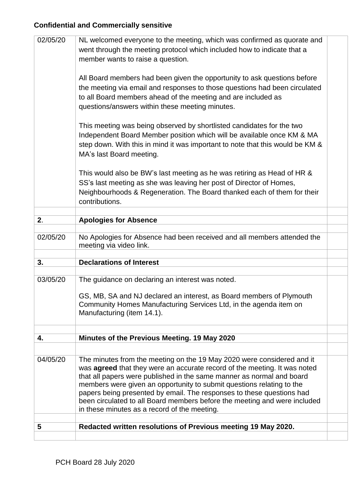| 02/05/20 | NL welcomed everyone to the meeting, which was confirmed as quorate and<br>went through the meeting protocol which included how to indicate that a<br>member wants to raise a question.                                                                                                                                                                                                                                                                                                                            |  |
|----------|--------------------------------------------------------------------------------------------------------------------------------------------------------------------------------------------------------------------------------------------------------------------------------------------------------------------------------------------------------------------------------------------------------------------------------------------------------------------------------------------------------------------|--|
|          | All Board members had been given the opportunity to ask questions before<br>the meeting via email and responses to those questions had been circulated<br>to all Board members ahead of the meeting and are included as<br>questions/answers within these meeting minutes.                                                                                                                                                                                                                                         |  |
|          | This meeting was being observed by shortlisted candidates for the two<br>Independent Board Member position which will be available once KM & MA<br>step down. With this in mind it was important to note that this would be KM &<br>MA's last Board meeting.                                                                                                                                                                                                                                                       |  |
|          | This would also be BW's last meeting as he was retiring as Head of HR &<br>SS's last meeting as she was leaving her post of Director of Homes,<br>Neighbourhoods & Regeneration. The Board thanked each of them for their<br>contributions.                                                                                                                                                                                                                                                                        |  |
|          |                                                                                                                                                                                                                                                                                                                                                                                                                                                                                                                    |  |
| 2.       | <b>Apologies for Absence</b>                                                                                                                                                                                                                                                                                                                                                                                                                                                                                       |  |
| 02/05/20 | No Apologies for Absence had been received and all members attended the<br>meeting via video link.                                                                                                                                                                                                                                                                                                                                                                                                                 |  |
|          |                                                                                                                                                                                                                                                                                                                                                                                                                                                                                                                    |  |
| 3.       | <b>Declarations of Interest</b>                                                                                                                                                                                                                                                                                                                                                                                                                                                                                    |  |
| 03/05/20 | The guidance on declaring an interest was noted.                                                                                                                                                                                                                                                                                                                                                                                                                                                                   |  |
|          | GS, MB, SA and NJ declared an interest, as Board members of Plymouth<br>Community Homes Manufacturing Services Ltd, in the agenda item on<br>Manufacturing (item 14.1).                                                                                                                                                                                                                                                                                                                                            |  |
|          |                                                                                                                                                                                                                                                                                                                                                                                                                                                                                                                    |  |
| 4.       | Minutes of the Previous Meeting. 19 May 2020                                                                                                                                                                                                                                                                                                                                                                                                                                                                       |  |
|          |                                                                                                                                                                                                                                                                                                                                                                                                                                                                                                                    |  |
| 04/05/20 | The minutes from the meeting on the 19 May 2020 were considered and it<br>was <b>agreed</b> that they were an accurate record of the meeting. It was noted<br>that all papers were published in the same manner as normal and board<br>members were given an opportunity to submit questions relating to the<br>papers being presented by email. The responses to these questions had<br>been circulated to all Board members before the meeting and were included<br>in these minutes as a record of the meeting. |  |
| 5        | Redacted written resolutions of Previous meeting 19 May 2020.                                                                                                                                                                                                                                                                                                                                                                                                                                                      |  |
|          |                                                                                                                                                                                                                                                                                                                                                                                                                                                                                                                    |  |
|          |                                                                                                                                                                                                                                                                                                                                                                                                                                                                                                                    |  |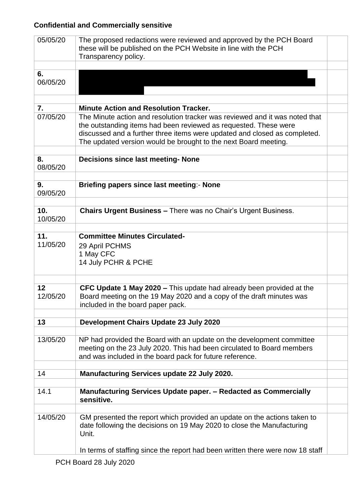| 05/05/20         | The proposed redactions were reviewed and approved by the PCH Board<br>these will be published on the PCH Website in line with the PCH<br>Transparency policy.                                                                                                                                  |  |
|------------------|-------------------------------------------------------------------------------------------------------------------------------------------------------------------------------------------------------------------------------------------------------------------------------------------------|--|
| 6.<br>06/05/20   |                                                                                                                                                                                                                                                                                                 |  |
| $\overline{7}$ . | <b>Minute Action and Resolution Tracker.</b>                                                                                                                                                                                                                                                    |  |
| 07/05/20         | The Minute action and resolution tracker was reviewed and it was noted that<br>the outstanding items had been reviewed as requested. These were<br>discussed and a further three items were updated and closed as completed.<br>The updated version would be brought to the next Board meeting. |  |
| 8.<br>08/05/20   | <b>Decisions since last meeting- None</b>                                                                                                                                                                                                                                                       |  |
| 9.<br>09/05/20   | Briefing papers since last meeting:- None                                                                                                                                                                                                                                                       |  |
| 10.<br>10/05/20  | <b>Chairs Urgent Business - There was no Chair's Urgent Business.</b>                                                                                                                                                                                                                           |  |
| 11.<br>11/05/20  | <b>Committee Minutes Circulated-</b><br>29 April PCHMS<br>1 May CFC<br>14 July PCHR & PCHE                                                                                                                                                                                                      |  |
| 12<br>12/05/20   | CFC Update 1 May 2020 – This update had already been provided at the<br>Board meeting on the 19 May 2020 and a copy of the draft minutes was<br>included in the board paper pack.                                                                                                               |  |
| 13               | Development Chairs Update 23 July 2020                                                                                                                                                                                                                                                          |  |
| 13/05/20         | NP had provided the Board with an update on the development committee<br>meeting on the 23 July 2020. This had been circulated to Board members<br>and was included in the board pack for future reference.                                                                                     |  |
| 14               | <b>Manufacturing Services update 22 July 2020.</b>                                                                                                                                                                                                                                              |  |
| 14.1             | Manufacturing Services Update paper. - Redacted as Commercially<br>sensitive.                                                                                                                                                                                                                   |  |
| 14/05/20         | GM presented the report which provided an update on the actions taken to<br>date following the decisions on 19 May 2020 to close the Manufacturing<br>Unit.                                                                                                                                     |  |
|                  | In terms of staffing since the report had been written there were now 18 staff                                                                                                                                                                                                                  |  |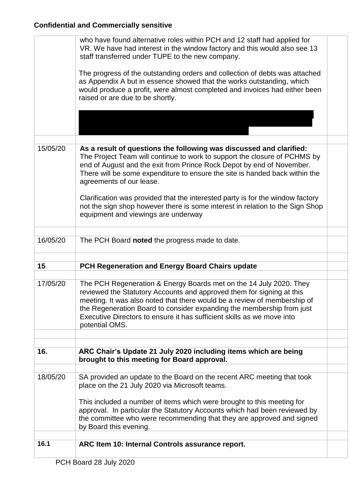|          | who have found alternative roles within PCH and 12 staff had applied for<br>VR. We have had interest in the window factory and this would also see 13<br>staff transferred under TUPE to the new company.                                                                                                                                                                                    |  |
|----------|----------------------------------------------------------------------------------------------------------------------------------------------------------------------------------------------------------------------------------------------------------------------------------------------------------------------------------------------------------------------------------------------|--|
|          | The progress of the outstanding orders and collection of debts was attached<br>as Appendix A but in essence showed that the works outstanding, which<br>would produce a profit, were almost completed and invoices had either been<br>raised or are due to be shortly.                                                                                                                       |  |
|          |                                                                                                                                                                                                                                                                                                                                                                                              |  |
|          |                                                                                                                                                                                                                                                                                                                                                                                              |  |
| 15/05/20 | As a result of questions the following was discussed and clarified:<br>The Project Team will continue to work to support the closure of PCHMS by<br>end of August and the exit from Prince Rock Depot by end of November.<br>There will be some expenditure to ensure the site is handed back within the<br>agreements of our lease.                                                         |  |
|          | Clarification was provided that the interested party is for the window factory<br>not the sign shop however there is some interest in relation to the Sign Shop<br>equipment and viewings are underway                                                                                                                                                                                       |  |
| 16/05/20 | The PCH Board noted the progress made to date.                                                                                                                                                                                                                                                                                                                                               |  |
|          |                                                                                                                                                                                                                                                                                                                                                                                              |  |
| 15       | PCH Regeneration and Energy Board Chairs update                                                                                                                                                                                                                                                                                                                                              |  |
|          |                                                                                                                                                                                                                                                                                                                                                                                              |  |
| 17/05/20 | The PCH Regeneration & Energy Boards met on the 14 July 2020. They<br>reviewed the Statutory Accounts and approved them for signing at this<br>meeting. It was also noted that there would be a review of membership of<br>the Regeneration Board to consider expanding the membership from just<br>Executive Directors to ensure it has sufficient skills as we move into<br>potential OMS. |  |
|          |                                                                                                                                                                                                                                                                                                                                                                                              |  |
| 16.      | ARC Chair's Update 21 July 2020 including items which are being<br>brought to this meeting for Board approval.                                                                                                                                                                                                                                                                               |  |
|          |                                                                                                                                                                                                                                                                                                                                                                                              |  |
| 18/05/20 | SA provided an update to the Board on the recent ARC meeting that took<br>place on the 21 July 2020 via Microsoft teams.                                                                                                                                                                                                                                                                     |  |
|          | This included a number of items which were brought to this meeting for<br>approval. In particular the Statutory Accounts which had been reviewed by<br>the committee who were recommending that they are approved and signed<br>by Board this evening.                                                                                                                                       |  |
|          |                                                                                                                                                                                                                                                                                                                                                                                              |  |
| 16.1     | ARC Item 10: Internal Controls assurance report.                                                                                                                                                                                                                                                                                                                                             |  |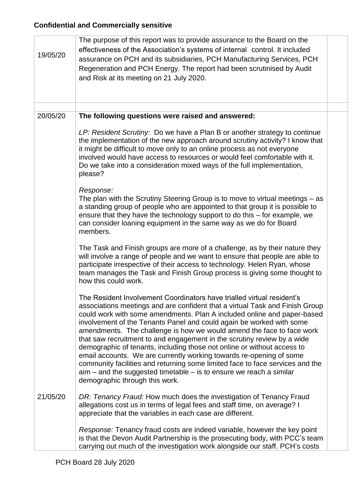| 19/05/20 | The purpose of this report was to provide assurance to the Board on the<br>effectiveness of the Association's systems of internal control. It included<br>assurance on PCH and its subsidiaries, PCH Manufacturing Services, PCH<br>Regeneration and PCH Energy. The report had been scrutinised by Audit<br>and Risk at its meeting on 21 July 2020.                                                                                                                                                                                                                                                                                                                                                                                                                                                          |  |
|----------|----------------------------------------------------------------------------------------------------------------------------------------------------------------------------------------------------------------------------------------------------------------------------------------------------------------------------------------------------------------------------------------------------------------------------------------------------------------------------------------------------------------------------------------------------------------------------------------------------------------------------------------------------------------------------------------------------------------------------------------------------------------------------------------------------------------|--|
|          |                                                                                                                                                                                                                                                                                                                                                                                                                                                                                                                                                                                                                                                                                                                                                                                                                |  |
| 20/05/20 | The following questions were raised and answered:<br>LP: Resident Scrutiny: Do we have a Plan B or another strategy to continue<br>the implementation of the new approach around scrutiny activity? I know that<br>it might be difficult to move only to an online process as not everyone<br>involved would have access to resources or would feel comfortable with it.<br>Do we take into a consideration mixed ways of the full implementation,<br>please?                                                                                                                                                                                                                                                                                                                                                  |  |
|          | Response:<br>The plan with the Scrutiny Steering Group is to move to virtual meetings $-$ as<br>a standing group of people who are appointed to that group it is possible to<br>ensure that they have the technology support to do this - for example, we<br>can consider loaning equipment in the same way as we do for Board<br>members.                                                                                                                                                                                                                                                                                                                                                                                                                                                                     |  |
|          | The Task and Finish groups are more of a challenge, as by their nature they<br>will involve a range of people and we want to ensure that people are able to<br>participate irrespective of their access to technology. Helen Ryan, whose<br>team manages the Task and Finish Group process is giving some thought to<br>how this could work.                                                                                                                                                                                                                                                                                                                                                                                                                                                                   |  |
|          | The Resident Involvement Coordinators have trialled virtual resident's<br>associations meetings and are confident that a virtual Task and Finish Group<br>could work with some amendments. Plan A included online and paper-based<br>involvement of the Tenants Panel and could again be worked with some<br>amendments. The challenge is how we would amend the face to face work<br>that saw recruitment to and engagement in the scrutiny review by a wide<br>demographic of tenants, including those not online or without access to<br>email accounts. We are currently working towards re-opening of some<br>community facilities and returning some limited face to face services and the<br>$\sin -$ and the suggested timetable $-$ is to ensure we reach a similar<br>demographic through this work. |  |
| 21/05/20 | DR: Tenancy Fraud: How much does the investigation of Tenancy Fraud<br>allegations cost us in terms of legal fees and staff time, on average? I<br>appreciate that the variables in each case are different.                                                                                                                                                                                                                                                                                                                                                                                                                                                                                                                                                                                                   |  |
|          | Response: Tenancy fraud costs are indeed variable, however the key point<br>is that the Devon Audit Partnership is the prosecuting body, with PCC's team<br>carrying out much of the investigation work alongside our staff. PCH's costs                                                                                                                                                                                                                                                                                                                                                                                                                                                                                                                                                                       |  |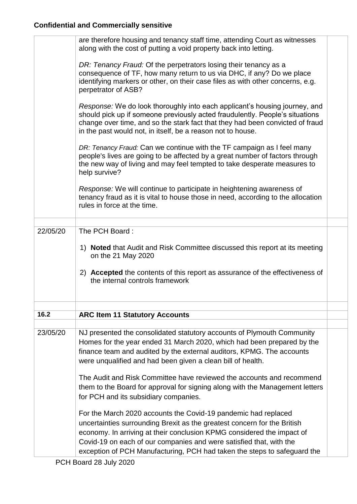|          | are therefore housing and tenancy staff time, attending Court as witnesses<br>along with the cost of putting a void property back into letting.                                                                                                                                                                                                                         |  |
|----------|-------------------------------------------------------------------------------------------------------------------------------------------------------------------------------------------------------------------------------------------------------------------------------------------------------------------------------------------------------------------------|--|
|          | DR: Tenancy Fraud: Of the perpetrators losing their tenancy as a<br>consequence of TF, how many return to us via DHC, if any? Do we place<br>identifying markers or other, on their case files as with other concerns, e.g.<br>perpetrator of ASB?                                                                                                                      |  |
|          | Response: We do look thoroughly into each applicant's housing journey, and<br>should pick up if someone previously acted fraudulently. People's situations<br>change over time, and so the stark fact that they had been convicted of fraud<br>in the past would not, in itself, be a reason not to house.                                                              |  |
|          | DR: Tenancy Fraud: Can we continue with the TF campaign as I feel many<br>people's lives are going to be affected by a great number of factors through<br>the new way of living and may feel tempted to take desperate measures to<br>help survive?                                                                                                                     |  |
|          | Response: We will continue to participate in heightening awareness of<br>tenancy fraud as it is vital to house those in need, according to the allocation<br>rules in force at the time.                                                                                                                                                                                |  |
| 22/05/20 | The PCH Board:                                                                                                                                                                                                                                                                                                                                                          |  |
|          | 1) Noted that Audit and Risk Committee discussed this report at its meeting<br>on the 21 May 2020                                                                                                                                                                                                                                                                       |  |
|          | 2) Accepted the contents of this report as assurance of the effectiveness of<br>the internal controls framework                                                                                                                                                                                                                                                         |  |
| 16.2     | <b>ARC Item 11 Statutory Accounts</b>                                                                                                                                                                                                                                                                                                                                   |  |
|          |                                                                                                                                                                                                                                                                                                                                                                         |  |
| 23/05/20 | NJ presented the consolidated statutory accounts of Plymouth Community<br>Homes for the year ended 31 March 2020, which had been prepared by the<br>finance team and audited by the external auditors, KPMG. The accounts<br>were unqualified and had been given a clean bill of health.                                                                                |  |
|          | The Audit and Risk Committee have reviewed the accounts and recommend<br>them to the Board for approval for signing along with the Management letters<br>for PCH and its subsidiary companies.                                                                                                                                                                          |  |
|          | For the March 2020 accounts the Covid-19 pandemic had replaced<br>uncertainties surrounding Brexit as the greatest concern for the British<br>economy. In arriving at their conclusion KPMG considered the impact of<br>Covid-19 on each of our companies and were satisfied that, with the<br>exception of PCH Manufacturing, PCH had taken the steps to safeguard the |  |
|          |                                                                                                                                                                                                                                                                                                                                                                         |  |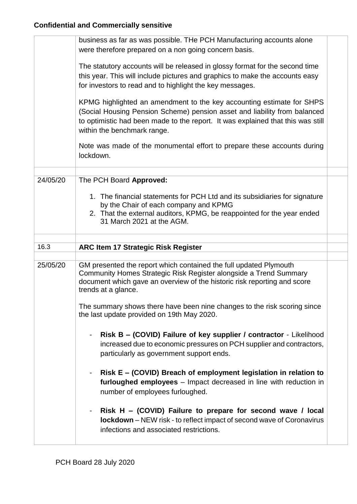|          | business as far as was possible. THe PCH Manufacturing accounts alone<br>were therefore prepared on a non going concern basis.                                                                                                                                       |  |
|----------|----------------------------------------------------------------------------------------------------------------------------------------------------------------------------------------------------------------------------------------------------------------------|--|
|          | The statutory accounts will be released in glossy format for the second time<br>this year. This will include pictures and graphics to make the accounts easy<br>for investors to read and to highlight the key messages.                                             |  |
|          | KPMG highlighted an amendment to the key accounting estimate for SHPS<br>(Social Housing Pension Scheme) pension asset and liability from balanced<br>to optimistic had been made to the report. It was explained that this was still<br>within the benchmark range. |  |
|          | Note was made of the monumental effort to prepare these accounts during<br>lockdown.                                                                                                                                                                                 |  |
| 24/05/20 | The PCH Board Approved:                                                                                                                                                                                                                                              |  |
|          | 1. The financial statements for PCH Ltd and its subsidiaries for signature<br>by the Chair of each company and KPMG<br>2. That the external auditors, KPMG, be reappointed for the year ended<br>31 March 2021 at the AGM.                                           |  |
|          |                                                                                                                                                                                                                                                                      |  |
|          |                                                                                                                                                                                                                                                                      |  |
| 16.3     | <b>ARC Item 17 Strategic Risk Register</b>                                                                                                                                                                                                                           |  |
| 25/05/20 | GM presented the report which contained the full updated Plymouth<br>Community Homes Strategic Risk Register alongside a Trend Summary<br>document which gave an overview of the historic risk reporting and score<br>trends at a glance.                            |  |
|          | The summary shows there have been nine changes to the risk scoring since<br>the last update provided on 19th May 2020.                                                                                                                                               |  |
|          | Risk B – (COVID) Failure of key supplier / contractor - Likelihood<br>$\blacksquare$<br>increased due to economic pressures on PCH supplier and contractors,<br>particularly as government support ends.                                                             |  |
|          | Risk E - (COVID) Breach of employment legislation in relation to<br>$\blacksquare$<br>furloughed employees - Impact decreased in line with reduction in<br>number of employees furloughed.                                                                           |  |
|          | Risk H - (COVID) Failure to prepare for second wave / local<br><b>lockdown</b> – NEW risk - to reflect impact of second wave of Coronavirus<br>infections and associated restrictions.                                                                               |  |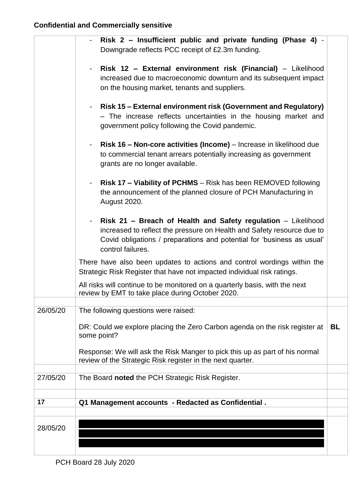|          | Risk 2 - Insufficient public and private funding (Phase 4) -<br>Downgrade reflects PCC receipt of £2.3m funding.                                                                                                                       |           |
|----------|----------------------------------------------------------------------------------------------------------------------------------------------------------------------------------------------------------------------------------------|-----------|
|          | Risk 12 - External environment risk (Financial) - Likelihood<br>increased due to macroeconomic downturn and its subsequent impact<br>on the housing market, tenants and suppliers.                                                     |           |
|          | Risk 15 – External environment risk (Government and Regulatory)<br>- The increase reflects uncertainties in the housing market and<br>government policy following the Covid pandemic.                                                  |           |
|          | Risk 16 - Non-core activities (Income) - Increase in likelihood due<br>to commercial tenant arrears potentially increasing as government<br>grants are no longer available.                                                            |           |
|          | Risk 17 - Viability of PCHMS - Risk has been REMOVED following<br>$\blacksquare$<br>the announcement of the planned closure of PCH Manufacturing in<br>August 2020.                                                                    |           |
|          | Risk 21 - Breach of Health and Safety regulation - Likelihood<br>increased to reflect the pressure on Health and Safety resource due to<br>Covid obligations / preparations and potential for 'business as usual'<br>control failures. |           |
|          | There have also been updates to actions and control wordings within the<br>Strategic Risk Register that have not impacted individual risk ratings.                                                                                     |           |
|          | All risks will continue to be monitored on a quarterly basis, with the next<br>review by EMT to take place during October 2020.                                                                                                        |           |
| 26/05/20 | The following questions were raised:                                                                                                                                                                                                   |           |
|          | DR: Could we explore placing the Zero Carbon agenda on the risk register at<br>some point?                                                                                                                                             | <b>BL</b> |
|          | Response: We will ask the Risk Manger to pick this up as part of his normal<br>review of the Strategic Risk register in the next quarter.                                                                                              |           |
| 27/05/20 | The Board noted the PCH Strategic Risk Register.                                                                                                                                                                                       |           |
|          |                                                                                                                                                                                                                                        |           |
| 17       | Q1 Management accounts - Redacted as Confidential.                                                                                                                                                                                     |           |
|          |                                                                                                                                                                                                                                        |           |
| 28/05/20 |                                                                                                                                                                                                                                        |           |
|          |                                                                                                                                                                                                                                        |           |
|          |                                                                                                                                                                                                                                        |           |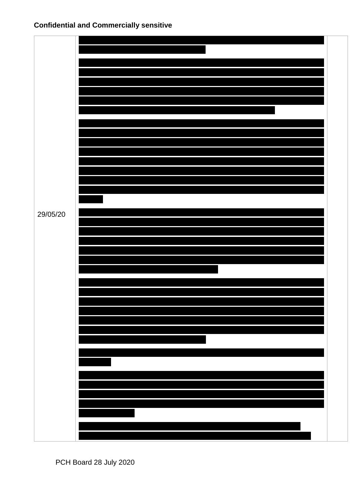| 29/05/20 |  |
|----------|--|
|          |  |
|          |  |
|          |  |
|          |  |
|          |  |
|          |  |
|          |  |
|          |  |
|          |  |
|          |  |
|          |  |
|          |  |
|          |  |
|          |  |
|          |  |
|          |  |
|          |  |
|          |  |
|          |  |
|          |  |
|          |  |
|          |  |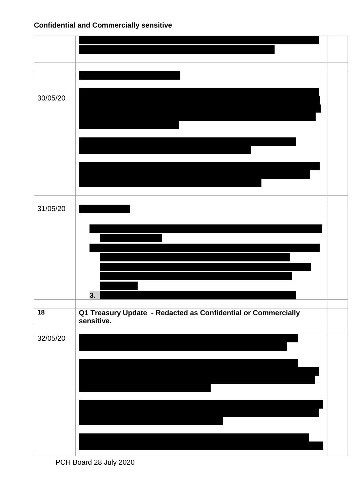



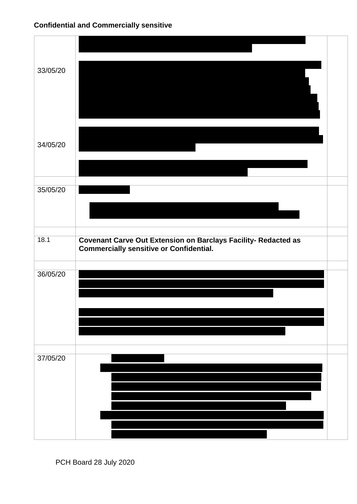| 33/05/20 |                                                                                                               |  |
|----------|---------------------------------------------------------------------------------------------------------------|--|
| 34/05/20 |                                                                                                               |  |
| 35/05/20 |                                                                                                               |  |
| 18.1     | <b>Covenant Carve Out Extension on Barclays Facility- Redacted as Commercially sensitive or Confidential.</b> |  |
| 36/05/20 |                                                                                                               |  |
| 37/05/20 |                                                                                                               |  |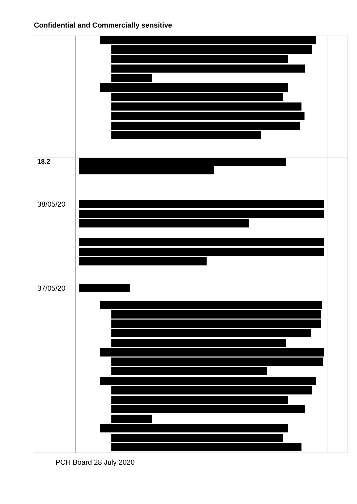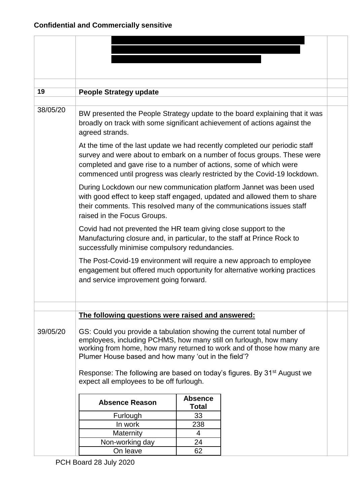| 19       | <b>People Strategy update</b>                                                                                                                                                                     |                                |                                                                                                                                                      |  |  |
|----------|---------------------------------------------------------------------------------------------------------------------------------------------------------------------------------------------------|--------------------------------|------------------------------------------------------------------------------------------------------------------------------------------------------|--|--|
|          |                                                                                                                                                                                                   |                                |                                                                                                                                                      |  |  |
| 38/05/20 | broadly on track with some significant achievement of actions against the<br>agreed strands.                                                                                                      |                                | BW presented the People Strategy update to the board explaining that it was                                                                          |  |  |
|          | At the time of the last update we had recently completed our periodic staff<br>completed and gave rise to a number of actions, some of which were                                                 |                                | survey and were about to embark on a number of focus groups. These were<br>commenced until progress was clearly restricted by the Covid-19 lockdown. |  |  |
|          | During Lockdown our new communication platform Jannet was been used<br>their comments. This resolved many of the communications issues staff<br>raised in the Focus Groups.                       |                                | with good effect to keep staff engaged, updated and allowed them to share                                                                            |  |  |
|          | Covid had not prevented the HR team giving close support to the<br>Manufacturing closure and, in particular, to the staff at Prince Rock to<br>successfully minimise compulsory redundancies.     |                                |                                                                                                                                                      |  |  |
|          | The Post-Covid-19 environment will require a new approach to employee<br>engagement but offered much opportunity for alternative working practices<br>and service improvement going forward.      |                                |                                                                                                                                                      |  |  |
|          | The following questions were raised and answered:                                                                                                                                                 |                                |                                                                                                                                                      |  |  |
| 39/05/20 | GS: Could you provide a tabulation showing the current total number of<br>employees, including PCHMS, how many still on furlough, how many<br>Plumer House based and how many 'out in the field'? |                                | working from home, how many returned to work and of those how many are                                                                               |  |  |
|          | Response: The following are based on today's figures. By 31 <sup>st</sup> August we<br>expect all employees to be off furlough.                                                                   |                                |                                                                                                                                                      |  |  |
|          | <b>Absence Reason</b>                                                                                                                                                                             | <b>Absence</b><br><b>Total</b> |                                                                                                                                                      |  |  |
|          | Furlough                                                                                                                                                                                          | 33                             |                                                                                                                                                      |  |  |
|          | In work                                                                                                                                                                                           | 238                            |                                                                                                                                                      |  |  |
|          | Maternity                                                                                                                                                                                         | $\overline{4}$                 |                                                                                                                                                      |  |  |
|          | Non-working day                                                                                                                                                                                   | 24                             |                                                                                                                                                      |  |  |
|          | On leave                                                                                                                                                                                          | 62                             |                                                                                                                                                      |  |  |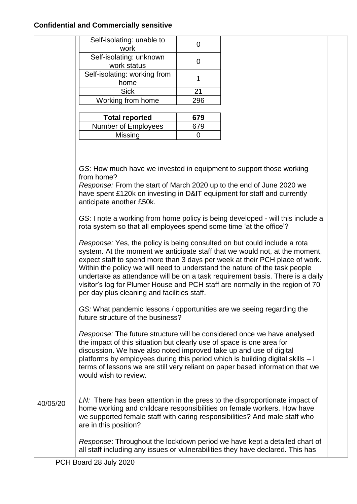|          | Self-isolating: unable to                                                                                                                                                                                                                                                                                                         | 0   |                                                                                                                                                                                                                                                                                                                              |  |
|----------|-----------------------------------------------------------------------------------------------------------------------------------------------------------------------------------------------------------------------------------------------------------------------------------------------------------------------------------|-----|------------------------------------------------------------------------------------------------------------------------------------------------------------------------------------------------------------------------------------------------------------------------------------------------------------------------------|--|
|          | work                                                                                                                                                                                                                                                                                                                              |     |                                                                                                                                                                                                                                                                                                                              |  |
|          | Self-isolating: unknown<br>work status                                                                                                                                                                                                                                                                                            | 0   |                                                                                                                                                                                                                                                                                                                              |  |
|          | Self-isolating: working from<br>home                                                                                                                                                                                                                                                                                              | 1   |                                                                                                                                                                                                                                                                                                                              |  |
|          | <b>Sick</b>                                                                                                                                                                                                                                                                                                                       | 21  |                                                                                                                                                                                                                                                                                                                              |  |
|          | Working from home                                                                                                                                                                                                                                                                                                                 | 296 |                                                                                                                                                                                                                                                                                                                              |  |
|          | <b>Total reported</b>                                                                                                                                                                                                                                                                                                             | 679 |                                                                                                                                                                                                                                                                                                                              |  |
|          | Number of Employees                                                                                                                                                                                                                                                                                                               | 679 |                                                                                                                                                                                                                                                                                                                              |  |
|          | Missing                                                                                                                                                                                                                                                                                                                           | 0   |                                                                                                                                                                                                                                                                                                                              |  |
|          | GS: How much have we invested in equipment to support those working<br>from home?<br>Response: From the start of March 2020 up to the end of June 2020 we<br>have spent £120k on investing in D&IT equipment for staff and currently<br>anticipate another £50k.                                                                  |     |                                                                                                                                                                                                                                                                                                                              |  |
|          | GS: I note a working from home policy is being developed - will this include a<br>rota system so that all employees spend some time 'at the office'?                                                                                                                                                                              |     |                                                                                                                                                                                                                                                                                                                              |  |
|          | Response: Yes, the policy is being consulted on but could include a rota<br>Within the policy we will need to understand the nature of the task people<br>per day plus cleaning and facilities staff.                                                                                                                             |     | system. At the moment we anticipate staff that we would not, at the moment,<br>expect staff to spend more than 3 days per week at their PCH place of work.<br>undertake as attendance will be on a task requirement basis. There is a daily<br>visitor's log for Plumer House and PCH staff are normally in the region of 70 |  |
|          | GS: What pandemic lessons / opportunities are we seeing regarding the<br>future structure of the business?                                                                                                                                                                                                                        |     |                                                                                                                                                                                                                                                                                                                              |  |
|          | Response: The future structure will be considered once we have analysed<br>the impact of this situation but clearly use of space is one area for<br>discussion. We have also noted improved take up and use of digital<br>platforms by employees during this period which is building digital skills - I<br>would wish to review. |     | terms of lessons we are still very reliant on paper based information that we                                                                                                                                                                                                                                                |  |
| 40/05/20 | home working and childcare responsibilities on female workers. How have<br>we supported female staff with caring responsibilities? And male staff who<br>are in this position?                                                                                                                                                    |     | LN: There has been attention in the press to the disproportionate impact of                                                                                                                                                                                                                                                  |  |
|          | all staff including any issues or vulnerabilities they have declared. This has                                                                                                                                                                                                                                                    |     | Response: Throughout the lockdown period we have kept a detailed chart of                                                                                                                                                                                                                                                    |  |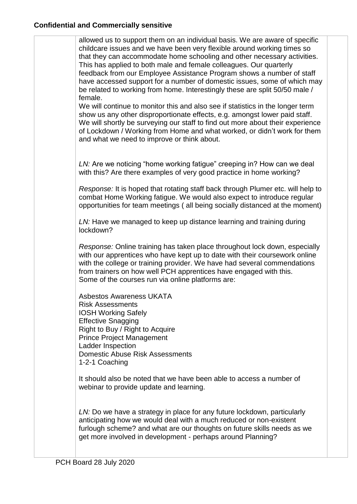allowed us to support them on an individual basis. We are aware of specific childcare issues and we have been very flexible around working times so that they can accommodate home schooling and other necessary activities. This has applied to both male and female colleagues. Our quarterly feedback from our Employee Assistance Program shows a number of staff have accessed support for a number of domestic issues, some of which may be related to working from home. Interestingly these are split 50/50 male / female.

We will continue to monitor this and also see if statistics in the longer term show us any other disproportionate effects, e.g. amongst lower paid staff. We will shortly be surveying our staff to find out more about their experience of Lockdown / Working from Home and what worked, or didn't work for them and what we need to improve or think about.

*LN:* Are we noticing "home working fatigue" creeping in? How can we deal with this? Are there examples of very good practice in home working?

*Response:* It is hoped that rotating staff back through Plumer etc. will help to combat Home Working fatigue. We would also expect to introduce regular opportunities for team meetings ( all being socially distanced at the moment)

*LN:* Have we managed to keep up distance learning and training during lockdown?

*Response:* Online training has taken place throughout lock down, especially with our apprentices who have kept up to date with their coursework online with the college or training provider. We have had several commendations from trainers on how well PCH apprentices have engaged with this. Some of the courses run via online platforms are:

Asbestos Awareness UKATA Risk Assessments IOSH Working Safely Effective Snagging Right to Buy / Right to Acquire Prince Project Management Ladder Inspection Domestic Abuse Risk Assessments 1-2-1 Coaching

It should also be noted that we have been able to access a number of webinar to provide update and learning.

*LN:* Do we have a strategy in place for any future lockdown, particularly anticipating how we would deal with a much reduced or non-existent furlough scheme? and what are our thoughts on future skills needs as we get more involved in development - perhaps around Planning?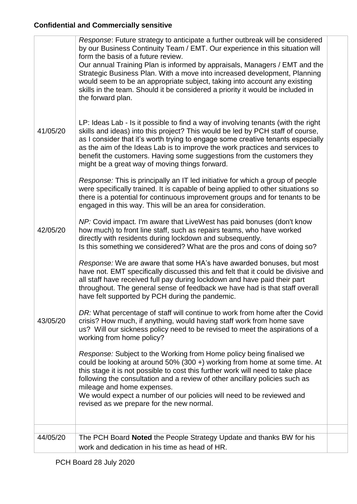41/05/20 42/05/20 43/05/20 *Response*: Future strategy to anticipate a further outbreak will be considered by our Business Continuity Team / EMT. Our experience in this situation will form the basis of a future review. Our annual Training Plan is informed by appraisals, Managers / EMT and the Strategic Business Plan. With a move into increased development, Planning would seem to be an appropriate subject, taking into account any existing skills in the team. Should it be considered a priority it would be included in the forward plan. LP: Ideas Lab - Is it possible to find a way of involving tenants (with the right skills and ideas) into this project? This would be led by PCH staff of course, as I consider that it's worth trying to engage some creative tenants especially as the aim of the Ideas Lab is to improve the work practices and services to benefit the customers. Having some suggestions from the customers they might be a great way of moving things forward. *Response:* This is principally an IT led initiative for which a group of people were specifically trained. It is capable of being applied to other situations so there is a potential for continuous improvement groups and for tenants to be engaged in this way. This will be an area for consideration. *NP:* Covid impact. I'm aware that LiveWest has paid bonuses (don't know how much) to front line staff, such as repairs teams, who have worked directly with residents during lockdown and subsequently. Is this something we considered? What are the pros and cons of doing so? *Response:* We are aware that some HA's have awarded bonuses, but most have not. EMT specifically discussed this and felt that it could be divisive and all staff have received full pay during lockdown and have paid their part throughout. The general sense of feedback we have had is that staff overall have felt supported by PCH during the pandemic. *DR:* What percentage of staff will continue to work from home after the Covid crisis? How much, if anything, would having staff work from home save us? Will our sickness policy need to be revised to meet the aspirations of a working from home policy? *Response:* Subject to the Working from Home policy being finalised we could be looking at around 50% (300 +) working from home at some time. At this stage it is not possible to cost this further work will need to take place following the consultation and a review of other ancillary policies such as mileage and home expenses. We would expect a number of our policies will need to be reviewed and revised as we prepare for the new normal. 44/05/20 The PCH Board **Noted** the People Strategy Update and thanks BW for his work and dedication in his time as head of HR.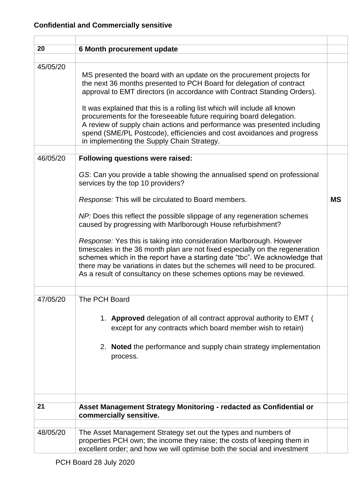| 20       | 6 Month procurement update                                                                                                                                                                                                                                                                                                                                                                |           |
|----------|-------------------------------------------------------------------------------------------------------------------------------------------------------------------------------------------------------------------------------------------------------------------------------------------------------------------------------------------------------------------------------------------|-----------|
| 45/05/20 |                                                                                                                                                                                                                                                                                                                                                                                           |           |
|          | MS presented the board with an update on the procurement projects for<br>the next 36 months presented to PCH Board for delegation of contract<br>approval to EMT directors (in accordance with Contract Standing Orders).                                                                                                                                                                 |           |
|          | It was explained that this is a rolling list which will include all known<br>procurements for the foreseeable future requiring board delegation.<br>A review of supply chain actions and performance was presented including<br>spend (SME/PL Postcode), efficiencies and cost avoidances and progress<br>in implementing the Supply Chain Strategy.                                      |           |
| 46/05/20 | <b>Following questions were raised:</b>                                                                                                                                                                                                                                                                                                                                                   |           |
|          | GS: Can you provide a table showing the annualised spend on professional<br>services by the top 10 providers?                                                                                                                                                                                                                                                                             |           |
|          | Response: This will be circulated to Board members.                                                                                                                                                                                                                                                                                                                                       | <b>MS</b> |
|          | NP: Does this reflect the possible slippage of any regeneration schemes<br>caused by progressing with Marlborough House refurbishment?                                                                                                                                                                                                                                                    |           |
|          | Response: Yes this is taking into consideration Marlborough. However<br>timescales in the 36 month plan are not fixed especially on the regeneration<br>schemes which in the report have a starting date "tbc". We acknowledge that<br>there may be variations in dates but the schemes will need to be procured.<br>As a result of consultancy on these schemes options may be reviewed. |           |
| 47/05/20 | The PCH Board                                                                                                                                                                                                                                                                                                                                                                             |           |
|          |                                                                                                                                                                                                                                                                                                                                                                                           |           |
|          | 1. Approved delegation of all contract approval authority to EMT (<br>except for any contracts which board member wish to retain)                                                                                                                                                                                                                                                         |           |
|          | 2. Noted the performance and supply chain strategy implementation<br>process.                                                                                                                                                                                                                                                                                                             |           |
|          |                                                                                                                                                                                                                                                                                                                                                                                           |           |
| 21       | Asset Management Strategy Monitoring - redacted as Confidential or<br>commercially sensitive.                                                                                                                                                                                                                                                                                             |           |
| 48/05/20 | The Asset Management Strategy set out the types and numbers of<br>properties PCH own; the income they raise; the costs of keeping them in<br>excellent order; and how we will optimise both the social and investment                                                                                                                                                                     |           |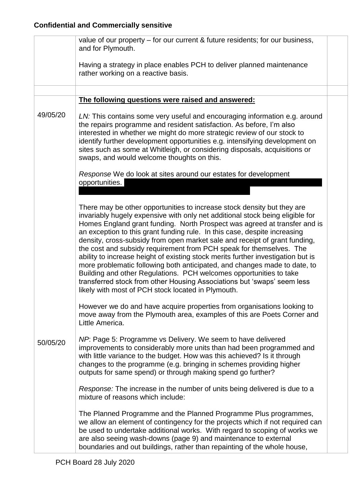|          | value of our property – for our current & future residents; for our business,<br>and for Plymouth.                                                                                                                                                                                                                                                                                                                                                                                                                                                                                                                                                                                                                                                                                                                                              |  |
|----------|-------------------------------------------------------------------------------------------------------------------------------------------------------------------------------------------------------------------------------------------------------------------------------------------------------------------------------------------------------------------------------------------------------------------------------------------------------------------------------------------------------------------------------------------------------------------------------------------------------------------------------------------------------------------------------------------------------------------------------------------------------------------------------------------------------------------------------------------------|--|
|          | Having a strategy in place enables PCH to deliver planned maintenance<br>rather working on a reactive basis.                                                                                                                                                                                                                                                                                                                                                                                                                                                                                                                                                                                                                                                                                                                                    |  |
|          |                                                                                                                                                                                                                                                                                                                                                                                                                                                                                                                                                                                                                                                                                                                                                                                                                                                 |  |
|          | The following questions were raised and answered:                                                                                                                                                                                                                                                                                                                                                                                                                                                                                                                                                                                                                                                                                                                                                                                               |  |
| 49/05/20 | LN: This contains some very useful and encouraging information e.g. around<br>the repairs programme and resident satisfaction. As before, I'm also<br>interested in whether we might do more strategic review of our stock to<br>identify further development opportunities e.g. intensifying development on<br>sites such as some at Whitleigh, or considering disposals, acquisitions or<br>swaps, and would welcome thoughts on this.                                                                                                                                                                                                                                                                                                                                                                                                        |  |
|          | Response We do look at sites around our estates for development                                                                                                                                                                                                                                                                                                                                                                                                                                                                                                                                                                                                                                                                                                                                                                                 |  |
|          | opportunities.                                                                                                                                                                                                                                                                                                                                                                                                                                                                                                                                                                                                                                                                                                                                                                                                                                  |  |
|          | There may be other opportunities to increase stock density but they are<br>invariably hugely expensive with only net additional stock being eligible for<br>Homes England grant funding. North Prospect was agreed at transfer and is<br>an exception to this grant funding rule. In this case, despite increasing<br>density, cross-subsidy from open market sale and receipt of grant funding,<br>the cost and subsidy requirement from PCH speak for themselves. The<br>ability to increase height of existing stock merits further investigation but is<br>more problematic following both anticipated, and changes made to date, to<br>Building and other Regulations. PCH welcomes opportunities to take<br>transferred stock from other Housing Associations but 'swaps' seem less<br>likely with most of PCH stock located in Plymouth. |  |
|          | However we do and have acquire properties from organisations looking to<br>move away from the Plymouth area, examples of this are Poets Corner and<br>Little America.                                                                                                                                                                                                                                                                                                                                                                                                                                                                                                                                                                                                                                                                           |  |
| 50/05/20 | NP: Page 5: Programme vs Delivery. We seem to have delivered<br>improvements to considerably more units than had been programmed and<br>with little variance to the budget. How was this achieved? Is it through<br>changes to the programme (e.g. bringing in schemes providing higher<br>outputs for same spend) or through making spend go further?                                                                                                                                                                                                                                                                                                                                                                                                                                                                                          |  |
|          | Response: The increase in the number of units being delivered is due to a<br>mixture of reasons which include:                                                                                                                                                                                                                                                                                                                                                                                                                                                                                                                                                                                                                                                                                                                                  |  |
|          | The Planned Programme and the Planned Programme Plus programmes,<br>we allow an element of contingency for the projects which if not required can<br>be used to undertake additional works. With regard to scoping of works we<br>are also seeing wash-downs (page 9) and maintenance to external<br>boundaries and out buildings, rather than repainting of the whole house,                                                                                                                                                                                                                                                                                                                                                                                                                                                                   |  |
|          |                                                                                                                                                                                                                                                                                                                                                                                                                                                                                                                                                                                                                                                                                                                                                                                                                                                 |  |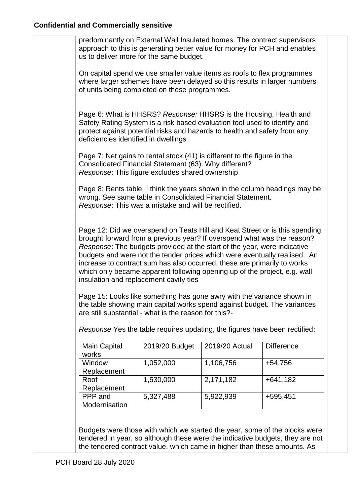| predominantly on External Wall Insulated homes. The contract supervisors                                                                                                                                                                                                                                                                                                                                                                                                                                                                                                                                                                                                                                                          |                                                                                                                                                                                                                             |                |                                                                            |
|-----------------------------------------------------------------------------------------------------------------------------------------------------------------------------------------------------------------------------------------------------------------------------------------------------------------------------------------------------------------------------------------------------------------------------------------------------------------------------------------------------------------------------------------------------------------------------------------------------------------------------------------------------------------------------------------------------------------------------------|-----------------------------------------------------------------------------------------------------------------------------------------------------------------------------------------------------------------------------|----------------|----------------------------------------------------------------------------|
|                                                                                                                                                                                                                                                                                                                                                                                                                                                                                                                                                                                                                                                                                                                                   | approach to this is generating better value for money for PCH and enables<br>us to deliver more for the same budget.                                                                                                        |                |                                                                            |
|                                                                                                                                                                                                                                                                                                                                                                                                                                                                                                                                                                                                                                                                                                                                   | On capital spend we use smaller value items as roofs to flex programmes<br>where larger schemes have been delayed so this results in larger numbers<br>of units being completed on these programmes.                        |                |                                                                            |
| deficiencies identified in dwellings                                                                                                                                                                                                                                                                                                                                                                                                                                                                                                                                                                                                                                                                                              | Page 6: What is HHSRS? Response: HHSRS is the Housing, Health and<br>Safety Rating System is a risk based evaluation tool used to identify and<br>protect against potential risks and hazards to health and safety from any |                |                                                                            |
|                                                                                                                                                                                                                                                                                                                                                                                                                                                                                                                                                                                                                                                                                                                                   | Page 7: Net gains to rental stock (41) is different to the figure in the<br>Consolidated Financial Statement (63). Why different?<br>Response: This figure excludes shared ownership                                        |                |                                                                            |
|                                                                                                                                                                                                                                                                                                                                                                                                                                                                                                                                                                                                                                                                                                                                   | wrong. See same table in Consolidated Financial Statement.<br>Response: This was a mistake and will be rectified.                                                                                                           |                | Page 8: Rents table. I think the years shown in the column headings may be |
| Page 12: Did we overspend on Teats Hill and Keat Street or is this spending<br>brought forward from a previous year? If overspend what was the reason?<br>Response: The budgets provided at the start of the year, were indicative<br>budgets and were not the tender prices which were eventually realised. An<br>increase to contract sum has also occurred, these are primarily to works<br>which only became apparent following opening up of the project, e.g. wall<br>insulation and replacement cavity ties<br>Page 15: Looks like something has gone awry with the variance shown in<br>the table showing main capital works spend against budget. The variances<br>are still substantial - what is the reason for this?- |                                                                                                                                                                                                                             |                |                                                                            |
|                                                                                                                                                                                                                                                                                                                                                                                                                                                                                                                                                                                                                                                                                                                                   |                                                                                                                                                                                                                             |                |                                                                            |
|                                                                                                                                                                                                                                                                                                                                                                                                                                                                                                                                                                                                                                                                                                                                   | Response Yes the table requires updating, the figures have been rectified:                                                                                                                                                  |                |                                                                            |
| Main Capital<br>works                                                                                                                                                                                                                                                                                                                                                                                                                                                                                                                                                                                                                                                                                                             | 2019/20 Budget                                                                                                                                                                                                              | 2019/20 Actual | <b>Difference</b>                                                          |
| Window                                                                                                                                                                                                                                                                                                                                                                                                                                                                                                                                                                                                                                                                                                                            | 1,052,000                                                                                                                                                                                                                   | 1,106,756      | +54,756                                                                    |
| Replacement<br>Roof<br>Replacement                                                                                                                                                                                                                                                                                                                                                                                                                                                                                                                                                                                                                                                                                                | 1,530,000                                                                                                                                                                                                                   | 2,171,182      | $+641,182$                                                                 |

Budgets were those with which we started the year, some of the blocks were tendered in year, so although these were the indicative budgets, they are not the tendered contract value, which came in higher than these amounts. As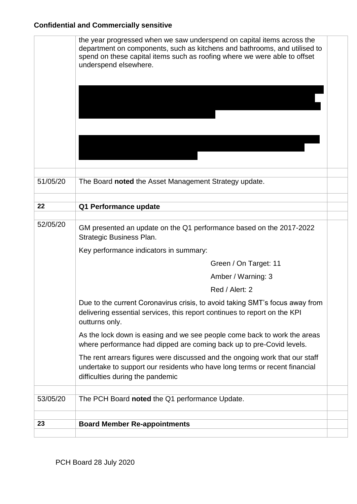|          | the year progressed when we saw underspend on capital items across the<br>department on components, such as kitchens and bathrooms, and utilised to<br>spend on these capital items such as roofing where we were able to offset<br>underspend elsewhere. |  |
|----------|-----------------------------------------------------------------------------------------------------------------------------------------------------------------------------------------------------------------------------------------------------------|--|
| 51/05/20 | The Board noted the Asset Management Strategy update.                                                                                                                                                                                                     |  |
| 22       |                                                                                                                                                                                                                                                           |  |
|          | Q1 Performance update                                                                                                                                                                                                                                     |  |
| 52/05/20 | GM presented an update on the Q1 performance based on the 2017-2022<br><b>Strategic Business Plan.</b>                                                                                                                                                    |  |
|          | Key performance indicators in summary:                                                                                                                                                                                                                    |  |
|          | Green / On Target: 11                                                                                                                                                                                                                                     |  |
|          | Amber / Warning: 3                                                                                                                                                                                                                                        |  |
|          | Red / Alert: 2                                                                                                                                                                                                                                            |  |
|          | Due to the current Coronavirus crisis, to avoid taking SMT's focus away from<br>delivering essential services, this report continues to report on the KPI<br>outturns only.                                                                               |  |
|          | As the lock down is easing and we see people come back to work the areas<br>where performance had dipped are coming back up to pre-Covid levels.                                                                                                          |  |
|          | The rent arrears figures were discussed and the ongoing work that our staff<br>undertake to support our residents who have long terms or recent financial<br>difficulties during the pandemic                                                             |  |
| 53/05/20 | The PCH Board noted the Q1 performance Update.                                                                                                                                                                                                            |  |
|          |                                                                                                                                                                                                                                                           |  |
| 23       | <b>Board Member Re-appointments</b>                                                                                                                                                                                                                       |  |
|          |                                                                                                                                                                                                                                                           |  |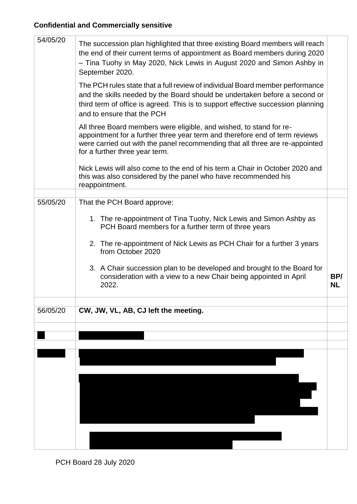| 54/05/20 | The succession plan highlighted that three existing Board members will reach<br>the end of their current terms of appointment as Board members during 2020<br>- Tina Tuohy in May 2020, Nick Lewis in August 2020 and Simon Ashby in<br>September 2020.                                                                                                                           |                  |
|----------|-----------------------------------------------------------------------------------------------------------------------------------------------------------------------------------------------------------------------------------------------------------------------------------------------------------------------------------------------------------------------------------|------------------|
|          | The PCH rules state that a full review of individual Board member performance<br>and the skills needed by the Board should be undertaken before a second or<br>third term of office is agreed. This is to support effective succession planning<br>and to ensure that the PCH                                                                                                     |                  |
|          | All three Board members were eligible, and wished, to stand for re-<br>appointment for a further three year term and therefore end of term reviews<br>were carried out with the panel recommending that all three are re-appointed<br>for a further three year term.                                                                                                              |                  |
|          | Nick Lewis will also come to the end of his term a Chair in October 2020 and<br>this was also considered by the panel who have recommended his<br>reappointment.                                                                                                                                                                                                                  |                  |
| 55/05/20 | That the PCH Board approve:                                                                                                                                                                                                                                                                                                                                                       |                  |
|          | 1. The re-appointment of Tina Tuohy, Nick Lewis and Simon Ashby as<br>PCH Board members for a further term of three years<br>2. The re-appointment of Nick Lewis as PCH Chair for a further 3 years<br>from October 2020<br>3. A Chair succession plan to be developed and brought to the Board for<br>consideration with a view to a new Chair being appointed in April<br>2022. | BP/<br><b>NL</b> |
|          |                                                                                                                                                                                                                                                                                                                                                                                   |                  |
| 56/05/20 | CW, JW, VL, AB, CJ left the meeting.                                                                                                                                                                                                                                                                                                                                              |                  |
|          |                                                                                                                                                                                                                                                                                                                                                                                   |                  |
|          |                                                                                                                                                                                                                                                                                                                                                                                   |                  |
|          |                                                                                                                                                                                                                                                                                                                                                                                   |                  |

PCH Board 28 July 2020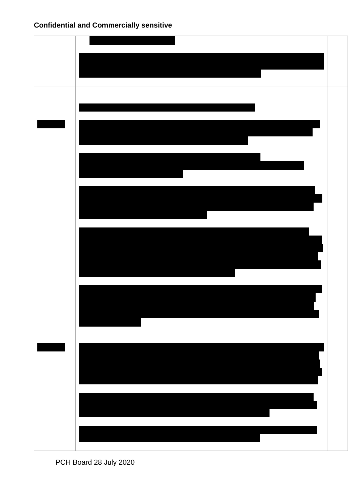PCH Board 28 July 2020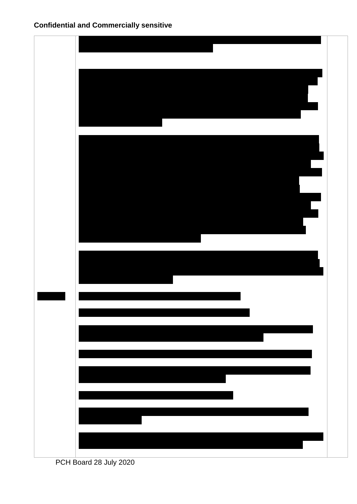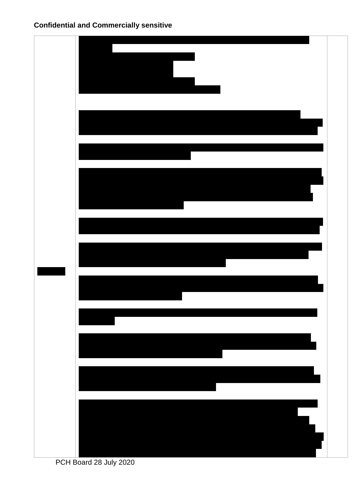PCH Board 28 July 2020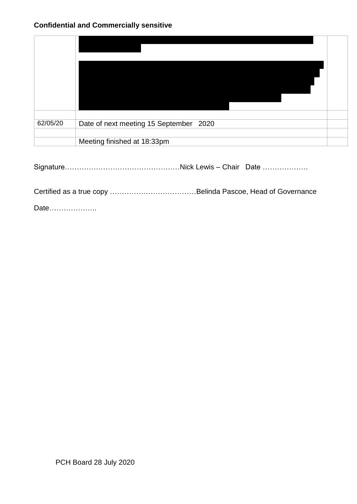| 62/05/20 | Date of next meeting 15 September 2020 |  |
|----------|----------------------------------------|--|
|          |                                        |  |
|          | Meeting finished at 18:33pm            |  |

Signature…………………………………………Nick Lewis – Chair Date ……………….

Certified as a true copy ………………………………Belinda Pascoe, Head of Governance

Date………………..